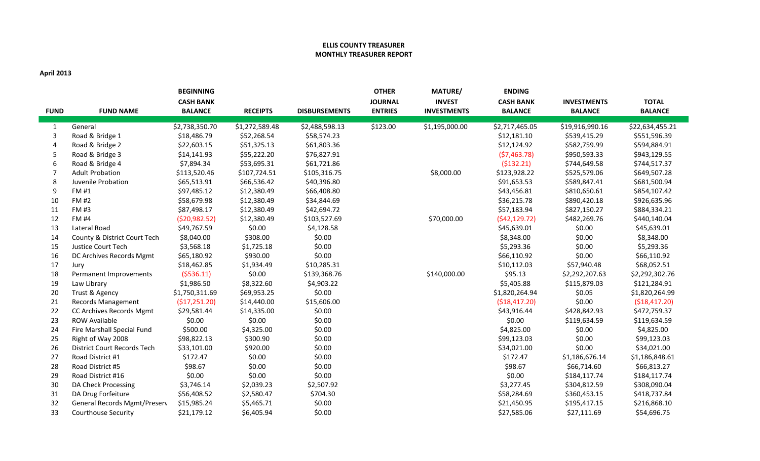## **ELLIS COUNTY TREASURER MONTHLY TREASURER REPORT**

## **April 2013**

| <b>FUND</b>      | <b>FUND NAME</b>                   | <b>BEGINNING</b><br><b>CASH BANK</b><br><b>BALANCE</b> | <b>RECEIPTS</b> | <b>DISBURSEMENTS</b> | <b>OTHER</b><br><b>JOURNAL</b><br><b>ENTRIES</b> | <b>MATURE/</b><br><b>INVEST</b><br><b>INVESTMENTS</b> | <b>ENDING</b><br><b>CASH BANK</b><br><b>BALANCE</b> | <b>INVESTMENTS</b><br><b>BALANCE</b> | <b>TOTAL</b><br><b>BALANCE</b> |
|------------------|------------------------------------|--------------------------------------------------------|-----------------|----------------------|--------------------------------------------------|-------------------------------------------------------|-----------------------------------------------------|--------------------------------------|--------------------------------|
| $\mathbf{1}$     | General                            | \$2,738,350.70                                         | \$1,272,589.48  | \$2,488,598.13       | \$123.00                                         | \$1,195,000.00                                        | \$2,717,465.05                                      | \$19,916,990.16                      | \$22,634,455.21                |
| 3                | Road & Bridge 1                    | \$18,486.79                                            | \$52,268.54     | \$58,574.23          |                                                  |                                                       | \$12,181.10                                         | \$539,415.29                         | \$551,596.39                   |
| $\overline{4}$   | Road & Bridge 2                    | \$22,603.15                                            | \$51,325.13     | \$61,803.36          |                                                  |                                                       | \$12,124.92                                         | \$582,759.99                         | \$594,884.91                   |
| 5                | Road & Bridge 3                    | \$14,141.93                                            | \$55,222.20     | \$76,827.91          |                                                  |                                                       | (57, 463.78)                                        | \$950,593.33                         | \$943,129.55                   |
| 6                | Road & Bridge 4                    | \$7,894.34                                             | \$53,695.31     | \$61,721.86          |                                                  |                                                       | (5132.21)                                           | \$744,649.58                         | \$744,517.37                   |
| 7                | <b>Adult Probation</b>             | \$113,520.46                                           | \$107,724.51    | \$105,316.75         |                                                  | \$8,000.00                                            | \$123,928.22                                        | \$525,579.06                         | \$649,507.28                   |
| 8                | Juvenile Probation                 | \$65,513.91                                            | \$66,536.42     | \$40,396.80          |                                                  |                                                       | \$91,653.53                                         | \$589,847.41                         | \$681,500.94                   |
| $\boldsymbol{9}$ | FM #1                              | \$97,485.12                                            | \$12,380.49     | \$66,408.80          |                                                  |                                                       | \$43,456.81                                         | \$810,650.61                         | \$854,107.42                   |
| 10               | <b>FM#2</b>                        | \$58,679.98                                            | \$12,380.49     | \$34,844.69          |                                                  |                                                       | \$36,215.78                                         | \$890,420.18                         | \$926,635.96                   |
| 11               | <b>FM #3</b>                       | \$87,498.17                                            | \$12,380.49     | \$42,694.72          |                                                  |                                                       | \$57,183.94                                         | \$827,150.27                         | \$884,334.21                   |
| 12               | <b>FM #4</b>                       | ( \$20, 982.52)                                        | \$12,380.49     | \$103,527.69         |                                                  | \$70,000.00                                           | (542, 129.72)                                       | \$482,269.76                         | \$440,140.04                   |
| 13               | Lateral Road                       | \$49,767.59                                            | \$0.00          | \$4,128.58           |                                                  |                                                       | \$45,639.01                                         | \$0.00                               | \$45,639.01                    |
| 14               | County & District Court Tech       | \$8,040.00                                             | \$308.00        | \$0.00               |                                                  |                                                       | \$8,348.00                                          | \$0.00                               | \$8,348.00                     |
| 15               | Justice Court Tech                 | \$3,568.18                                             | \$1,725.18      | \$0.00               |                                                  |                                                       | \$5,293.36                                          | \$0.00                               | \$5,293.36                     |
| 16               | DC Archives Records Mgmt           | \$65,180.92                                            | \$930.00        | \$0.00               |                                                  |                                                       | \$66,110.92                                         | \$0.00                               | \$66,110.92                    |
| 17               | Jury                               | \$18,462.85                                            | \$1,934.49      | \$10,285.31          |                                                  |                                                       | \$10,112.03                                         | \$57,940.48                          | \$68,052.51                    |
| 18               | Permanent Improvements             | (5536.11)                                              | \$0.00          | \$139,368.76         |                                                  | \$140,000.00                                          | \$95.13                                             | \$2,292,207.63                       | \$2,292,302.76                 |
| 19               | Law Library                        | \$1,986.50                                             | \$8,322.60      | \$4,903.22           |                                                  |                                                       | \$5,405.88                                          | \$115,879.03                         | \$121,284.91                   |
| 20               | Trust & Agency                     | \$1,750,311.69                                         | \$69,953.25     | \$0.00               |                                                  |                                                       | \$1,820,264.94                                      | \$0.05                               | \$1,820,264.99                 |
| 21               | <b>Records Management</b>          | (\$17,251.20)                                          | \$14,440.00     | \$15,606.00          |                                                  |                                                       | ( \$18,417.20)                                      | \$0.00                               | ( \$18,417.20)                 |
| 22               | CC Archives Records Mgmt           | \$29,581.44                                            | \$14,335.00     | \$0.00               |                                                  |                                                       | \$43,916.44                                         | \$428,842.93                         | \$472,759.37                   |
| 23               | <b>ROW Available</b>               | \$0.00                                                 | \$0.00          | \$0.00               |                                                  |                                                       | \$0.00                                              | \$119,634.59                         | \$119,634.59                   |
| 24               | Fire Marshall Special Fund         | \$500.00                                               | \$4,325.00      | \$0.00               |                                                  |                                                       | \$4,825.00                                          | \$0.00                               | \$4,825.00                     |
| 25               | Right of Way 2008                  | \$98,822.13                                            | \$300.90        | \$0.00               |                                                  |                                                       | \$99,123.03                                         | \$0.00                               | \$99,123.03                    |
| 26               | <b>District Court Records Tech</b> | \$33,101.00                                            | \$920.00        | \$0.00               |                                                  |                                                       | \$34,021.00                                         | \$0.00                               | \$34,021.00                    |
| 27               | Road District #1                   | \$172.47                                               | \$0.00          | \$0.00               |                                                  |                                                       | \$172.47                                            | \$1,186,676.14                       | \$1,186,848.61                 |
| 28               | Road District #5                   | \$98.67                                                | \$0.00          | \$0.00               |                                                  |                                                       | \$98.67                                             | \$66,714.60                          | \$66,813.27                    |
| 29               | Road District #16                  | \$0.00                                                 | \$0.00          | \$0.00               |                                                  |                                                       | \$0.00                                              | \$184,117.74                         | \$184,117.74                   |
| 30               | DA Check Processing                | \$3,746.14                                             | \$2,039.23      | \$2,507.92           |                                                  |                                                       | \$3,277.45                                          | \$304,812.59                         | \$308,090.04                   |
| 31               | DA Drug Forfeiture                 | \$56,408.52                                            | \$2,580.47      | \$704.30             |                                                  |                                                       | \$58,284.69                                         | \$360,453.15                         | \$418,737.84                   |
| 32               | General Records Mgmt/Preserv       | \$15,985.24                                            | \$5,465.71      | \$0.00               |                                                  |                                                       | \$21,450.95                                         | \$195,417.15                         | \$216,868.10                   |
| 33               | <b>Courthouse Security</b>         | \$21,179.12                                            | \$6,405.94      | \$0.00               |                                                  |                                                       | \$27,585.06                                         | \$27,111.69                          | \$54,696.75                    |